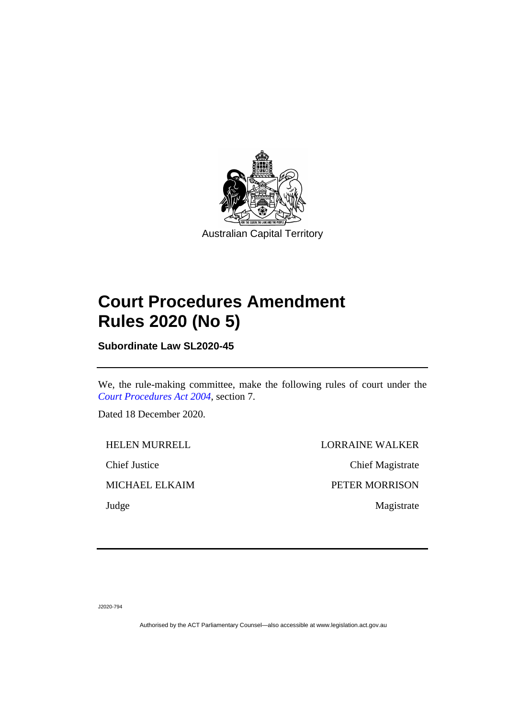

# **Court Procedures Amendment Rules 2020 (No 5)**

**Subordinate Law SL2020-45**

We, the rule-making committee, make the following rules of court under the *[Court Procedures Act 2004](http://www.legislation.act.gov.au/a/2004-59)*, section 7.

Dated 18 December 2020.

HELEN MURRELL LORRAINE WALKER Chief Justice Chief Magistrate MICHAEL ELKAIM PETER MORRISON Judge Magistrate

J2020-794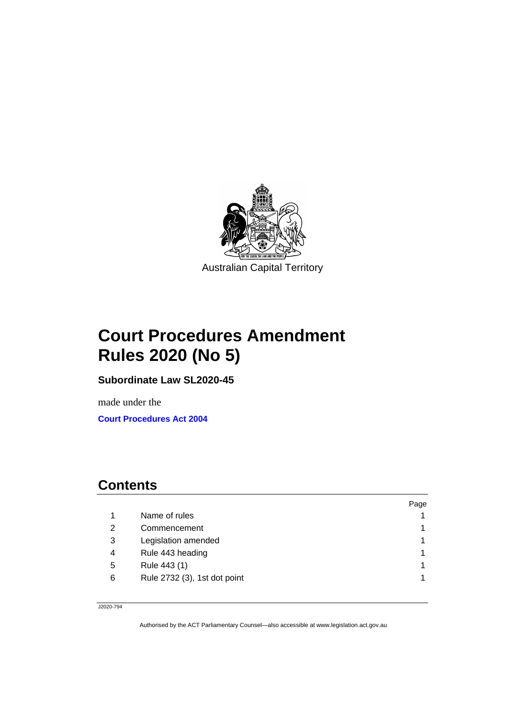

# **Court Procedures Amendment Rules 2020 (No 5)**

**Subordinate Law SL2020-45**

made under the **[Court Procedures Act 2004](http://www.legislation.act.gov.au/a/2004-59)**

### **Contents**

|   |                              | Page |
|---|------------------------------|------|
|   | Name of rules                |      |
| 2 | Commencement                 |      |
| 3 | Legislation amended          | 1    |
| 4 | Rule 443 heading             | 1    |
| 5 | Rule 443 (1)                 | 1    |
| 6 | Rule 2732 (3), 1st dot point | 1    |
|   |                              |      |

J2020-794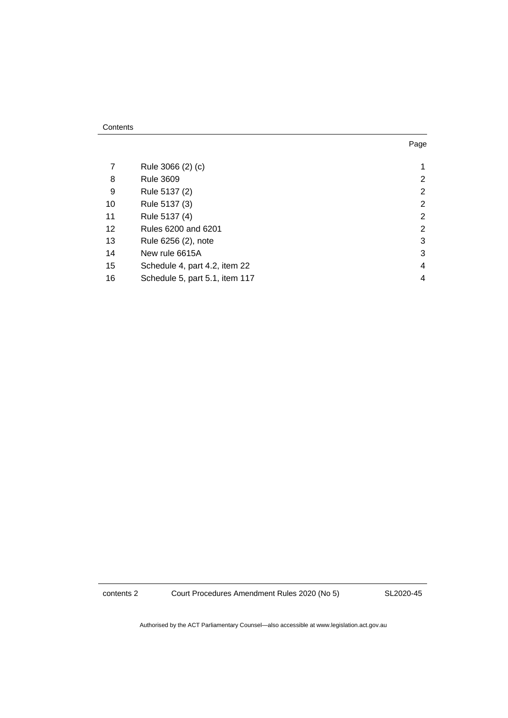#### **Contents**

|    | Rule 3066 (2) (c)              | 1 |
|----|--------------------------------|---|
| 8  | <b>Rule 3609</b>               | 2 |
| 9  | Rule 5137 (2)                  | 2 |
| 10 | Rule 5137 (3)                  | 2 |
| 11 | Rule 5137 (4)                  | 2 |
| 12 | Rules 6200 and 6201            | 2 |
| 13 | Rule 6256 (2), note            | 3 |
| 14 | New rule 6615A                 | 3 |
| 15 | Schedule 4, part 4.2, item 22  | 4 |
| 16 | Schedule 5, part 5.1, item 117 | 4 |

contents 2 Court Procedures Amendment Rules 2020 (No 5)

SL2020-45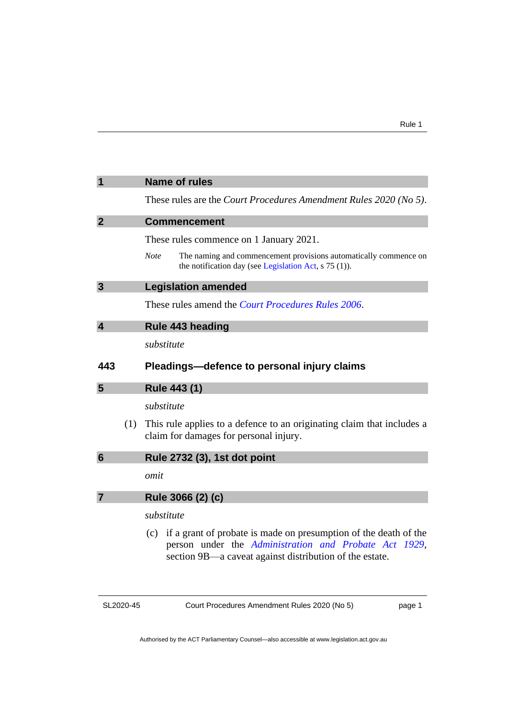<span id="page-4-4"></span><span id="page-4-3"></span><span id="page-4-2"></span><span id="page-4-1"></span><span id="page-4-0"></span>

| $\overline{\mathbf{1}}$ |     | <b>Name of rules</b>                                                                                                                                                                        |  |
|-------------------------|-----|---------------------------------------------------------------------------------------------------------------------------------------------------------------------------------------------|--|
|                         |     | These rules are the <i>Court Procedures Amendment Rules</i> 2020 (No 5).                                                                                                                    |  |
| $\overline{2}$          |     | <b>Commencement</b>                                                                                                                                                                         |  |
|                         |     | These rules commence on 1 January 2021.                                                                                                                                                     |  |
|                         |     | <b>Note</b><br>The naming and commencement provisions automatically commence on<br>the notification day (see Legislation Act, $s$ 75 (1)).                                                  |  |
| 3                       |     | <b>Legislation amended</b>                                                                                                                                                                  |  |
|                         |     | These rules amend the <i>Court Procedures Rules</i> 2006.                                                                                                                                   |  |
| $\overline{\mathbf{4}}$ |     | Rule 443 heading                                                                                                                                                                            |  |
|                         |     | substitute                                                                                                                                                                                  |  |
| 443                     |     | Pleadings—defence to personal injury claims                                                                                                                                                 |  |
| 5                       |     | Rule 443 (1)                                                                                                                                                                                |  |
|                         |     | substitute                                                                                                                                                                                  |  |
|                         | (1) | This rule applies to a defence to an originating claim that includes a<br>claim for damages for personal injury.                                                                            |  |
| $6\phantom{1}6$         |     | Rule 2732 (3), 1st dot point                                                                                                                                                                |  |
|                         |     | omit                                                                                                                                                                                        |  |
| 7                       |     | Rule 3066 (2) (c)                                                                                                                                                                           |  |
|                         |     | substitute                                                                                                                                                                                  |  |
|                         |     | if a grant of probate is made on presumption of the death of the<br>(c)<br>person under the Administration and Probate Act 1929,<br>section 9B—a caveat against distribution of the estate. |  |

<span id="page-4-6"></span><span id="page-4-5"></span>SL2020-45

Court Procedures Amendment Rules 2020 (No 5)

page 1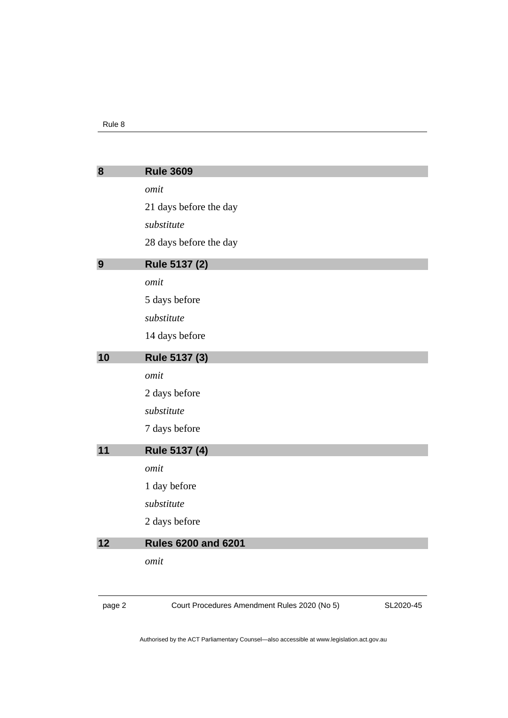<span id="page-5-2"></span><span id="page-5-1"></span><span id="page-5-0"></span>

| 8  | <b>Rule 3609</b>           |
|----|----------------------------|
|    | omit                       |
|    | 21 days before the day     |
|    | substitute                 |
|    | 28 days before the day     |
| 9  | Rule 5137 (2)              |
|    | omit                       |
|    | 5 days before              |
|    | substitute                 |
|    | 14 days before             |
| 10 | Rule 5137 (3)              |
|    | omit                       |
|    | 2 days before              |
|    | substitute                 |
|    | 7 days before              |
| 11 | Rule 5137 (4)              |
|    | omit                       |
|    | 1 day before               |
|    | substitute                 |
|    | 2 days before              |
| 12 | <b>Rules 6200 and 6201</b> |
|    | omit                       |
|    |                            |
|    |                            |

<span id="page-5-4"></span><span id="page-5-3"></span>page 2 Court Procedures Amendment Rules 2020 (No 5)

SL2020-45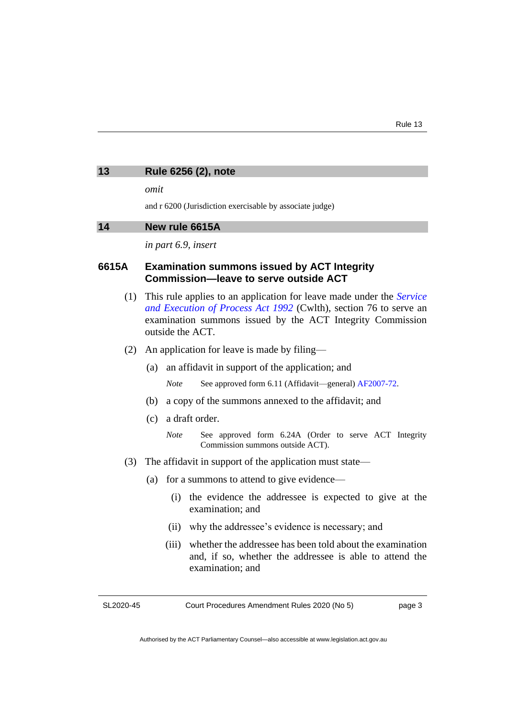<span id="page-6-0"></span>

| Rule 6256 (2), note<br>13 |
|---------------------------|
|---------------------------|

*omit*

and r 6200 (Jurisdiction exercisable by associate judge)

#### <span id="page-6-1"></span>**14 New rule 6615A**

*in part 6.9, insert*

#### **6615A Examination summons issued by ACT Integrity Commission—leave to serve outside ACT**

- (1) This rule applies to an application for leave made under the *[Service](https://www.legislation.gov.au/Series/C2004A04463)  [and Execution of Process Act 1992](https://www.legislation.gov.au/Series/C2004A04463)* (Cwlth), section 76 to serve an examination summons issued by the ACT Integrity Commission outside the ACT.
- (2) An application for leave is made by filing—
	- (a) an affidavit in support of the application; and
		- *Note* See approved form 6.11 (Affidavit—general) [AF2007-72.](https://www.legislation.act.gov.au/af/2007-72/)
	- (b) a copy of the summons annexed to the affidavit; and
	- (c) a draft order.
		- *Note* See approved form 6.24A (Order to serve ACT Integrity Commission summons outside ACT).
- (3) The affidavit in support of the application must state—
	- (a) for a summons to attend to give evidence—
		- (i) the evidence the addressee is expected to give at the examination; and
		- (ii) why the addressee's evidence is necessary; and
		- (iii) whether the addressee has been told about the examination and, if so, whether the addressee is able to attend the examination; and

SL2020-45

Court Procedures Amendment Rules 2020 (No 5)

page 3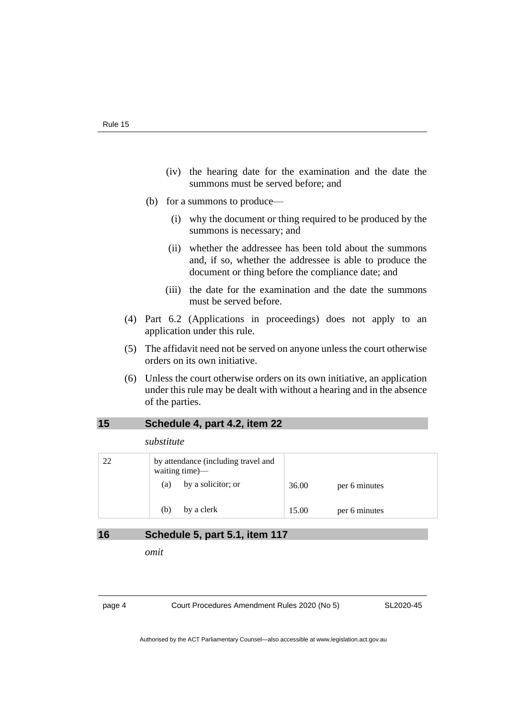- (iv) the hearing date for the examination and the date the summons must be served before; and
- (b) for a summons to produce—
	- (i) why the document or thing required to be produced by the summons is necessary; and
	- (ii) whether the addressee has been told about the summons and, if so, whether the addressee is able to produce the document or thing before the compliance date; and
	- (iii) the date for the examination and the date the summons must be served before.
- (4) Part 6.2 (Applications in proceedings) does not apply to an application under this rule.
- (5) The affidavit need not be served on anyone unless the court otherwise orders on its own initiative.
- (6) Unless the court otherwise orders on its own initiative, an application under this rule may be dealt with without a hearing and in the absence of the parties.

#### <span id="page-7-0"></span>**15 Schedule 4, part 4.2, item 22**

*substitute*

| 22 | by attendance (including travel and<br>waiting time)— |                    |       |               |
|----|-------------------------------------------------------|--------------------|-------|---------------|
|    | (a)                                                   | by a solicitor; or | 36.00 | per 6 minutes |
|    | (b)                                                   | by a clerk         | 15.00 | per 6 minutes |

#### <span id="page-7-1"></span>**16 Schedule 5, part 5.1, item 117**

*omit*

page 4 Court Procedures Amendment Rules 2020 (No 5)

SL2020-45